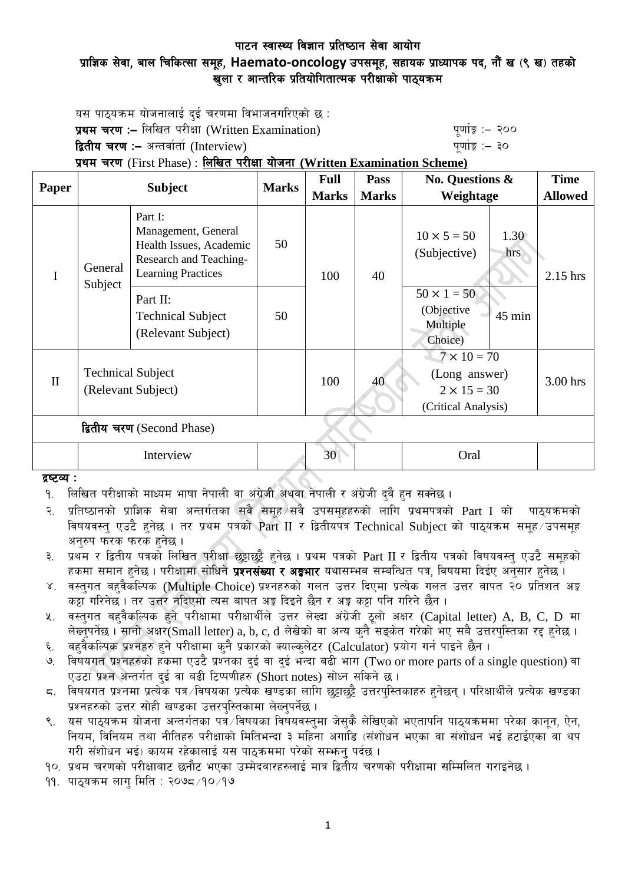## पाटन स्वास्थ्य विज्ञान प्रतिष्ठान सेवा आयोग प्राज्ञिक सेवा, बाल चिकित्सा समूह, Haemato-oncology उपसमूह, सहायक प्राध्यापक पद, नौं ख (९ ख) तहको खुला र आन्तरिक प्रतियोगितात्मक परीक्षाको पाठ्यक्रम

यस पाठयक्रम योजनालाई दई चरणमा विभाजनगरिएको छ : **प्रथम चरण :–** लिखित परीक्षा (Written Examination) k" b" while a "quing" :– २०० द्वितीय चरण :– अन्तर्वार्ता (Interview) kan have the set of the set of the set of  $\frac{1}{2}$ 

## प्रथम चरण (First Phase) : लिखित परीक्षा योजना (Written Examination Scheme)

| Paper                      | <b>Subject</b>                                 |                                                                                                                  | <b>Marks</b> | <b>Full</b>  | <b>Pass</b>  | <b>No. Questions &amp;</b>                                                       | <b>Time</b>    |
|----------------------------|------------------------------------------------|------------------------------------------------------------------------------------------------------------------|--------------|--------------|--------------|----------------------------------------------------------------------------------|----------------|
|                            |                                                |                                                                                                                  |              | <b>Marks</b> | <b>Marks</b> | Weightage                                                                        | <b>Allowed</b> |
| I                          | General<br>Subject                             | Part I:<br>Management, General<br>Health Issues, Academic<br>Research and Teaching-<br><b>Learning Practices</b> | 50           | 100          | 40           | $10 \times 5 = 50$<br>1.30<br>(Subjective)<br>hrs                                | 2.15 hrs       |
|                            |                                                | Part II:<br><b>Technical Subject</b><br>(Relevant Subject)                                                       | 50           |              |              | $50 \times 1 = 50$<br>(Objective<br>45 min<br>Multiple<br>Choice)                |                |
| $\mathbf{I}$               | <b>Technical Subject</b><br>(Relevant Subject) |                                                                                                                  |              | 100          | 40           | $7 \times 10 = 70$<br>(Long answer)<br>$2 \times 15 = 30$<br>(Critical Analysis) | 3.00 hrs       |
| द्वितीय चरण (Second Phase) |                                                |                                                                                                                  |              |              |              |                                                                                  |                |
|                            |                                                | Interview                                                                                                        |              | 30           |              | Oral                                                                             |                |

### दृष्टव्य $:$

<u>9. लिखित परीक्षाको माध्यम भाषा नेपाली वा अंग्रेजी अथवा नेपाली र अंग्रेजी दवै हन सक्नेछ ।</u>

२. प्रतिष्ठानको प्राज्ञिक सेवा अन्तर्गतका सबै समूह $\vee$ सबै उपसमुहहरुको लागि प्रथमपत्रको  $\operatorname{Part}$  I को  $\operatorname{n}$ ाउयक्रमको विषयवस्त् एउटै हुनेछ । तर प्रथम पत्रको Part II र द्वितीयपत्र Technical Subject को पाठ्यक्रम समूह उपसमूह अनुरुप फरक फरक हुनेछ ।

३. प्रथम र द्वितीय पत्रको लिखित परीक्षा छट्टाछट्टै हनेछ । प्रथम पत्रको Part II र द्वितीय पत्रको विषयवस्त् एउटै समूहको हकमा समान हुनेछ । परीक्षामा सोधिने **प्रश्नसंख्या र अङ्गभार** यथासम्भव सम्बन्धित पत्र, विषयमा दिईए अनुसार हुनेछ ।

- ४. वस्तुगत बहुवैकस्पिक (Multiple Choice) प्रश्नहरुको गलत उत्तर दिएमा प्रत्येक गलत उत्तर बापत २० प्रतिशत अङ्ग कट्टा गरिनेछ । तर उत्तर नदिएमा त्यस बापत अङ्ग दिइने छैन र अङ्ग कट्टा पनि गरिने छैन ।
- $\,$ k. वस्तुगत बहुवैकल्पिक हुने परीक्षामा परीक्षार्थीले उत्तर लेख्दा अंग्रेजी ठुलो अक्षर (Capital letter) A, B, C, D मा लेख्नुपर्नेछ । सानो अक्षर(Small letter) a, b, c, d लेखेको वा अन्य कुनै सङ्केत गरेको भए सबै उत्तरपुस्तिका रद्द हुनेछ ।
- ६. बहवैकल्पिक प्रश्नहरु हुने परीक्षामा कुनै प्रकारको क्याल्कुलेटर (Calculator) प्रयोग गर्न पाइने छैन ।
- ७. विषयगत प्रश्नहरुको हकमा एउटै प्रश्नका दुई वा दुई भन्दा बढी भाग (Two or more parts of a single question) वा एउटा प्रश्न अन्तर्गत दई वा बढी टिप्पणीहरु (Short notes) सोध्न सकिने छ।
- $\,$ द. विषयगत प्रश्नमा प्रत्येक पत्र विषयका प्रत्येक खण्डका लागि छुट्टाछुट्टै उत्तरपुस्तिकाहरु हुनेछन् । परिक्षार्थीले प्रत्येक खण्डका प्रश्नहरुको उत्तर सोही खण्डका उत्तरपस्तिकामा लेख्नुपर्नेछ ।
- ९. यस पाठयक्रम योजना अन्तर्गतका पत्रे विषयका विषयवस्तमा जेसकै लेखिएको भएतापनि पाठयक्रममा परेका कानन, ऐन, नियम, विनियम तथा नीतिहरु परीक्षाको मितिभन्दा ३ महिना अगाडि (संशोधन भएका वा संशोधन भई हटाईएका वा थप गरी संशोधन भई) कायम रहेकालाई यस पाठुकममा परेको सम्भन् पर्दछ ।

<u>१</u>०. प्रथम चरणको परीक्षाबाट छनौट भएका उम्मेदवारहरुलाई मात्र द्वितीय चरणको परीक्षामा सम्मिलित गराइनेछ ।

११. पाठुयक्रम लाग मिति : २०७८ ⁄१० ⁄१७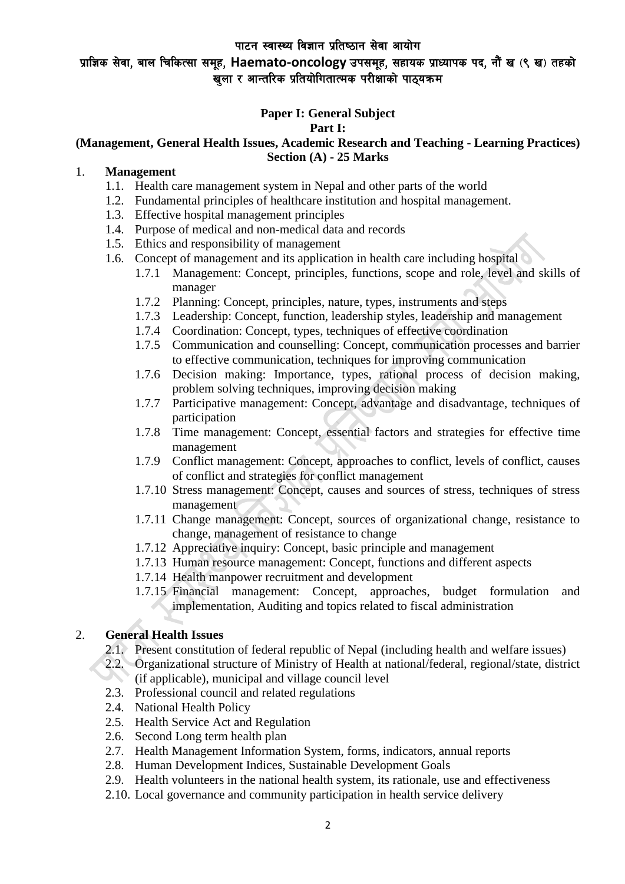# प्राज्ञिक सेवा, बाल चिकित्सा समूह, Haemato-oncology उपसमूह, सहायक प्राध्यापक पद, नौं ख (९ ख) तहको खला र आन्तरिक प्रतियोगितात्मक परीक्षाको पाठयक्रम

# **Paper I: General Subject**

#### **Part I:**

### **(Management, General Health Issues, Academic Research and Teaching - Learning Practices) Section (A) - 25 Marks**

### 1. **Management**

- 1.1. Health care management system in Nepal and other parts of the world
- 1.2. Fundamental principles of healthcare institution and hospital management.
- 1.3. Effective hospital management principles
- 1.4. Purpose of medical and non-medical data and records
- 1.5. Ethics and responsibility of management
- 1.6. Concept of management and its application in health care including hospital
	- 1.7.1 Management: Concept, principles, functions, scope and role, level and skills of manager
	- 1.7.2 Planning: Concept, principles, nature, types, instruments and steps
	- 1.7.3 Leadership: Concept, function, leadership styles, leadership and management
	- 1.7.4 Coordination: Concept, types, techniques of effective coordination
	- 1.7.5 Communication and counselling: Concept, communication processes and barrier to effective communication, techniques for improving communication
	- 1.7.6 Decision making: Importance, types, rational process of decision making, problem solving techniques, improving decision making
	- 1.7.7 Participative management: Concept, advantage and disadvantage, techniques of participation
	- 1.7.8 Time management: Concept, essential factors and strategies for effective time management
	- 1.7.9 Conflict management: Concept, approaches to conflict, levels of conflict, causes of conflict and strategies for conflict management
	- 1.7.10 Stress management: Concept, causes and sources of stress, techniques of stress management
	- 1.7.11 Change management: Concept, sources of organizational change, resistance to change, management of resistance to change
	- 1.7.12 Appreciative inquiry: Concept, basic principle and management
	- 1.7.13 Human resource management: Concept, functions and different aspects
	- 1.7.14 Health manpower recruitment and development
	- 1.7.15 Financial management: Concept, approaches, budget formulation and implementation, Auditing and topics related to fiscal administration

### 2. **General Health Issues**

- 2.1. Present constitution of federal republic of Nepal (including health and welfare issues)
- 2.2. Organizational structure of Ministry of Health at national/federal, regional/state, district (if applicable), municipal and village council level
- 2.3. Professional council and related regulations
- 2.4. National Health Policy
- 2.5. Health Service Act and Regulation
- 2.6. Second Long term health plan
- 2.7. Health Management Information System, forms, indicators, annual reports
- 2.8. Human Development Indices, Sustainable Development Goals
- 2.9. Health volunteers in the national health system, its rationale, use and effectiveness
- 2.10. Local governance and community participation in health service delivery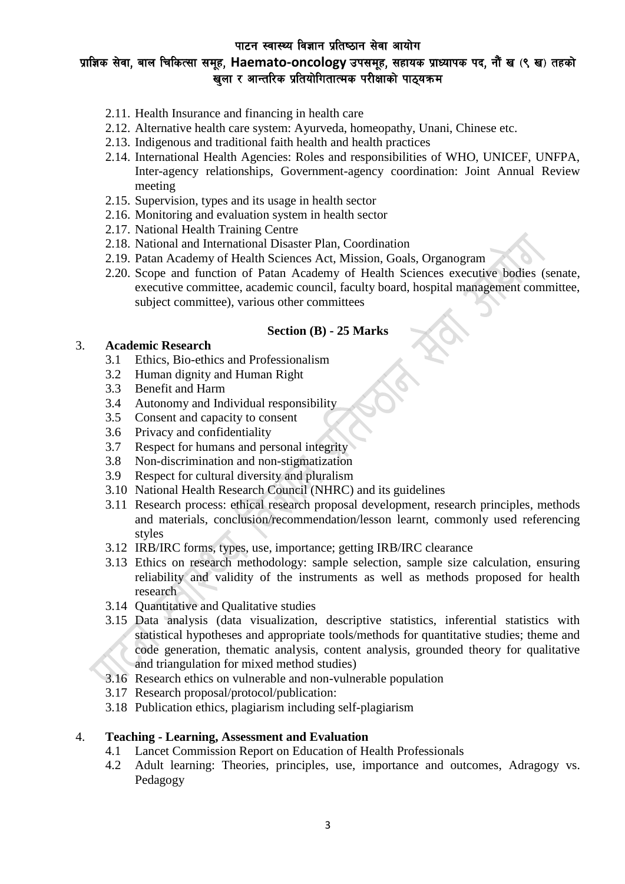# प्राज्ञिक सेवा, बाल चिकित्सा समूह, Haemato-oncology उपसमूह, सहायक प्राध्यापक पद, नौं ख (९ ख) तहको खला र आन्तरिक प्रतियोगितात्मक परीक्षाको पाठयक्रम

- 2.11. Health Insurance and financing in health care
- 2.12. Alternative health care system: Ayurveda, homeopathy, Unani, Chinese etc.
- 2.13. Indigenous and traditional faith health and health practices
- 2.14. International Health Agencies: Roles and responsibilities of WHO, UNICEF, UNFPA, Inter-agency relationships, Government-agency coordination: Joint Annual Review meeting
- 2.15. Supervision, types and its usage in health sector
- 2.16. Monitoring and evaluation system in health sector
- 2.17. National Health Training Centre
- 2.18. National and International Disaster Plan, Coordination
- 2.19. Patan Academy of Health Sciences Act, Mission, Goals, Organogram
- 2.20. Scope and function of Patan Academy of Health Sciences executive bodies (senate, executive committee, academic council, faculty board, hospital management committee, subject committee), various other committees

#### **Section (B) - 25 Marks**

#### 3. **Academic Research**

- 3.1 Ethics, Bio-ethics and Professionalism
- 3.2 Human dignity and Human Right
- 3.3 Benefit and Harm
- 3.4 Autonomy and Individual responsibility
- 3.5 Consent and capacity to consent
- 3.6 Privacy and confidentiality
- 3.7 Respect for humans and personal integrity
- 3.8 Non-discrimination and non-stigmatization
- 3.9 Respect for cultural diversity and pluralism
- 3.10 National Health Research Council (NHRC) and its guidelines
- 3.11 Research process: ethical research proposal development, research principles, methods and materials, conclusion/recommendation/lesson learnt, commonly used referencing styles
- 3.12 IRB/IRC forms, types, use, importance; getting IRB/IRC clearance
- 3.13 Ethics on research methodology: sample selection, sample size calculation, ensuring reliability and validity of the instruments as well as methods proposed for health research
- 3.14 Quantitative and Qualitative studies
- 3.15 Data analysis (data visualization, descriptive statistics, inferential statistics with statistical hypotheses and appropriate tools/methods for quantitative studies; theme and code generation, thematic analysis, content analysis, grounded theory for qualitative and triangulation for mixed method studies)
- 3.16 Research ethics on vulnerable and non-vulnerable population
- 3.17 Research proposal/protocol/publication:
- 3.18 Publication ethics, plagiarism including self-plagiarism

### 4. **Teaching - Learning, Assessment and Evaluation**

- 4.1 Lancet Commission Report on Education of Health Professionals
- 4.2 Adult learning: Theories, principles, use, importance and outcomes, Adragogy vs. Pedagogy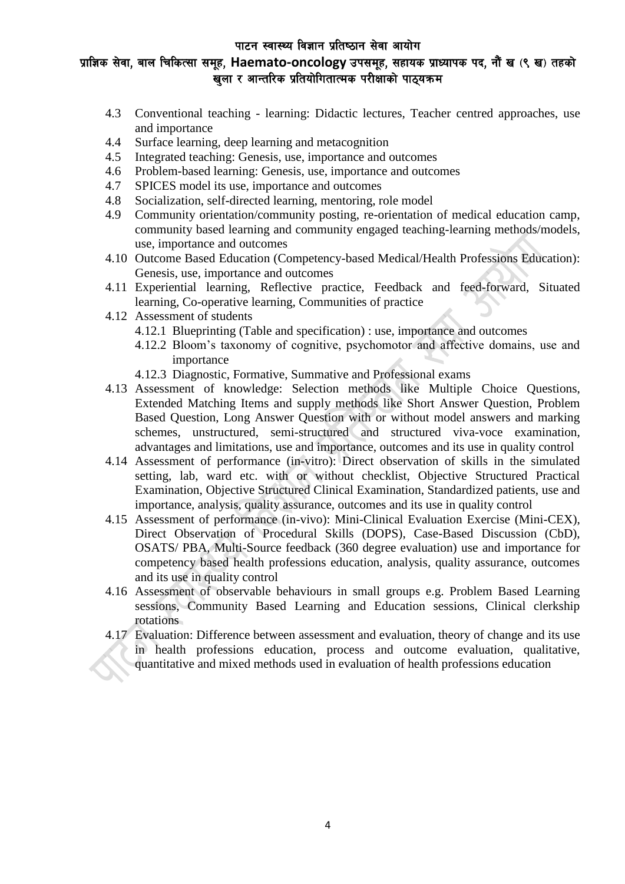# प्राज्ञिक सेवा, बाल चिकित्सा समूह, Haemato-oncology उपसमूह, सहायक प्राध्यापक पद, नौं ख (९ ख) तहको खला र आन्तरिक प्रतियोगितात्मक परीक्षाको पाठयक्रम

- 4.3 Conventional teaching learning: Didactic lectures, Teacher centred approaches, use and importance
- 4.4 Surface learning, deep learning and metacognition
- 4.5 Integrated teaching: Genesis, use, importance and outcomes
- 4.6 Problem-based learning: Genesis, use, importance and outcomes
- 4.7 SPICES model its use, importance and outcomes
- 4.8 Socialization, self-directed learning, mentoring, role model
- 4.9 Community orientation/community posting, re-orientation of medical education camp, community based learning and community engaged teaching-learning methods/models, use, importance and outcomes
- 4.10 Outcome Based Education (Competency-based Medical/Health Professions Education): Genesis, use, importance and outcomes
- 4.11 Experiential learning, Reflective practice, Feedback and feed-forward, Situated learning, Co-operative learning, Communities of practice
- 4.12 Assessment of students
	- 4.12.1 Blueprinting (Table and specification) : use, importance and outcomes
	- 4.12.2 Bloom's taxonomy of cognitive, psychomotor and affective domains, use and importance
	- 4.12.3 Diagnostic, Formative, Summative and Professional exams
- 4.13 Assessment of knowledge: Selection methods like Multiple Choice Questions, Extended Matching Items and supply methods like Short Answer Question, Problem Based Question, Long Answer Question with or without model answers and marking schemes, unstructured, semi-structured and structured viva-voce examination, advantages and limitations, use and importance, outcomes and its use in quality control
- 4.14 Assessment of performance (in-vitro): Direct observation of skills in the simulated setting, lab, ward etc. with or without checklist, Objective Structured Practical Examination, Objective Structured Clinical Examination, Standardized patients, use and importance, analysis, quality assurance, outcomes and its use in quality control
- 4.15 Assessment of performance (in-vivo): Mini-Clinical Evaluation Exercise (Mini-CEX), Direct Observation of Procedural Skills (DOPS), Case-Based Discussion (CbD), OSATS/ PBA, Multi-Source feedback (360 degree evaluation) use and importance for competency based health professions education, analysis, quality assurance, outcomes and its use in quality control
- 4.16 Assessment of observable behaviours in small groups e.g. Problem Based Learning sessions, Community Based Learning and Education sessions, Clinical clerkship rotations
- 4.17 Evaluation: Difference between assessment and evaluation, theory of change and its use in health professions education, process and outcome evaluation, qualitative, quantitative and mixed methods used in evaluation of health professions education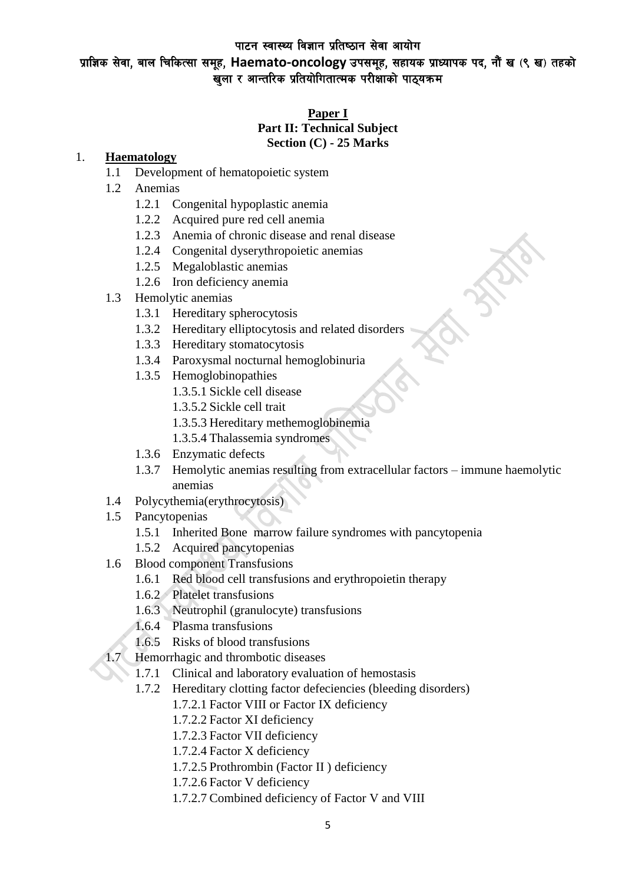प्राज्ञिक सेवा, बाल चिकित्सा समूह, Haemato-oncology उपसमूह, सहायक प्राध्यापक पद, नौं ख (९ ख) तहको खुला र आन्तरिक प्रतियोगितात्मक परीक्षाको पाठ्यक्रम

### **Paper I Part II: Technical Subject**

#### **Section (C) - 25 Marks**

### 1. **Haematology**

- 1.1 Development of hematopoietic system
- 1.2 Anemias
	- 1.2.1 Congenital hypoplastic anemia
	- 1.2.2 Acquired pure red cell anemia
	- 1.2.3 Anemia of chronic disease and renal disease
	- 1.2.4 Congenital dyserythropoietic anemias
	- 1.2.5 Megaloblastic anemias
	- 1.2.6 Iron deficiency anemia
- 1.3 Hemolytic anemias
	- 1.3.1 Hereditary spherocytosis
	- 1.3.2 Hereditary elliptocytosis and related disorders
	- 1.3.3 Hereditary stomatocytosis
	- 1.3.4 Paroxysmal nocturnal hemoglobinuria
	- 1.3.5 Hemoglobinopathies
		- 1.3.5.1 Sickle cell disease
		- 1.3.5.2 Sickle cell trait
		- 1.3.5.3 Hereditary methemoglobinemia
		- 1.3.5.4 Thalassemia syndromes
	- 1.3.6 Enzymatic defects
	- 1.3.7 Hemolytic anemias resulting from extracellular factors immune haemolytic anemias
- 1.4 Polycythemia(erythrocytosis)
- 1.5 Pancytopenias
	- 1.5.1 Inherited Bone marrow failure syndromes with pancytopenia
	- 1.5.2 Acquired pancytopenias
- 1.6 Blood component Transfusions
	- 1.6.1 Red blood cell transfusions and erythropoietin therapy
	- 1.6.2 Platelet transfusions
	- 1.6.3 Neutrophil (granulocyte) transfusions
	- 1.6.4 Plasma transfusions
	- 1.6.5 Risks of blood transfusions
- 1.7 Hemorrhagic and thrombotic diseases
	- 1.7.1 Clinical and laboratory evaluation of hemostasis
	- 1.7.2 Hereditary clotting factor defeciencies (bleeding disorders)
		- 1.7.2.1 Factor VIII or Factor IX deficiency
		- 1.7.2.2 Factor XI deficiency
		- 1.7.2.3 Factor VII deficiency
		- 1.7.2.4 Factor X deficiency
		- 1.7.2.5 Prothrombin (Factor II ) deficiency
		- 1.7.2.6 Factor V deficiency
		- 1.7.2.7 Combined deficiency of Factor V and VIII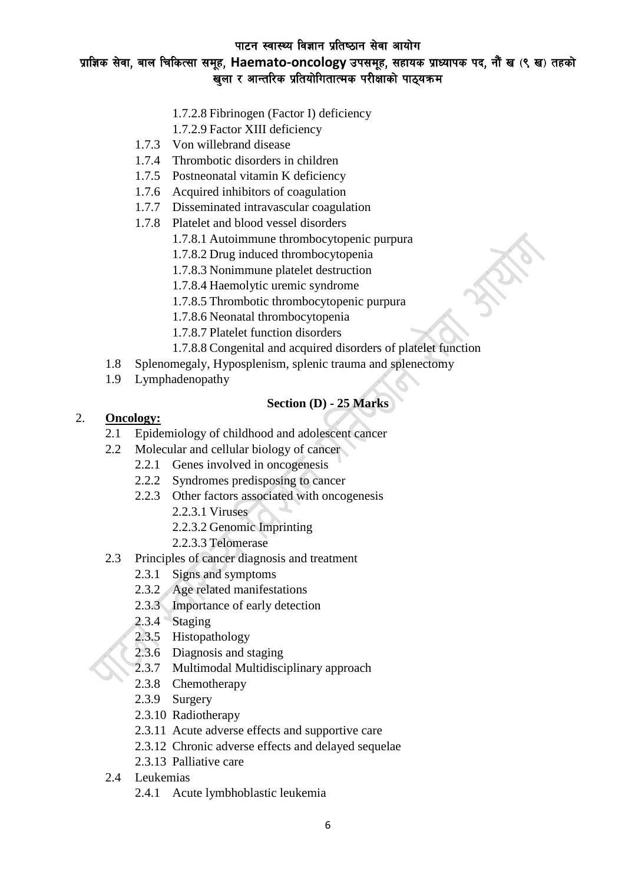# प्राज्ञिक सेवा, बाल चिकित्सा समूह, Haemato-oncology उपसमूह, सहायक प्राध्यापक पद, नौं ख (९ ख) तहको खुला र आन्तरिक प्रतियोगितात्मक परीक्षाको पाठ्यक्रम

- 1.7.2.8 Fibrinogen (Factor I) deficiency
- 1.7.2.9 Factor XIII deficiency
- 1.7.3 Von willebrand disease
- 1.7.4 Thrombotic disorders in children
- 1.7.5 Postneonatal vitamin K deficiency
- 1.7.6 Acquired inhibitors of coagulation
- 1.7.7 Disseminated intravascular coagulation
- 1.7.8 Platelet and blood vessel disorders
	- 1.7.8.1 Autoimmune thrombocytopenic purpura
	- 1.7.8.2 Drug induced thrombocytopenia
	- 1.7.8.3 Nonimmune platelet destruction
	- 1.7.8.4 Haemolytic uremic syndrome
	- 1.7.8.5 Thrombotic thrombocytopenic purpura
	- 1.7.8.6 Neonatal thrombocytopenia
	- 1.7.8.7 Platelet function disorders
	- 1.7.8.8 Congenital and acquired disorders of platelet function
- 1.8 Splenomegaly, Hyposplenism, splenic trauma and splenectomy
- 1.9 Lymphadenopathy

#### **Section (D) - 25 Marks**

#### 2. **Oncology:**

- 2.1 Epidemiology of childhood and adolescent cancer
- 2.2 Molecular and cellular biology of cancer
	- 2.2.1 Genes involved in oncogenesis
	- 2.2.2 Syndromes predisposing to cancer
	- 2.2.3 Other factors associated with oncogenesis
		- 2.2.3.1 Viruses
		- 2.2.3.2 Genomic Imprinting
		- 2.2.3.3 Telomerase
- 2.3 Principles of cancer diagnosis and treatment
	- 2.3.1 Signs and symptoms
	- 2.3.2 Age related manifestations
	- 2.3.3 Importance of early detection
	- 2.3.4 Staging
	- 2.3.5 Histopathology
	- 2.3.6 Diagnosis and staging
	- 2.3.7 Multimodal Multidisciplinary approach
	- 2.3.8 Chemotherapy
	- 2.3.9 Surgery
	- 2.3.10 Radiotherapy
	- 2.3.11 Acute adverse effects and supportive care
	- 2.3.12 Chronic adverse effects and delayed sequelae
	- 2.3.13 Palliative care
- 2.4 Leukemias
	- 2.4.1 Acute lymbhoblastic leukemia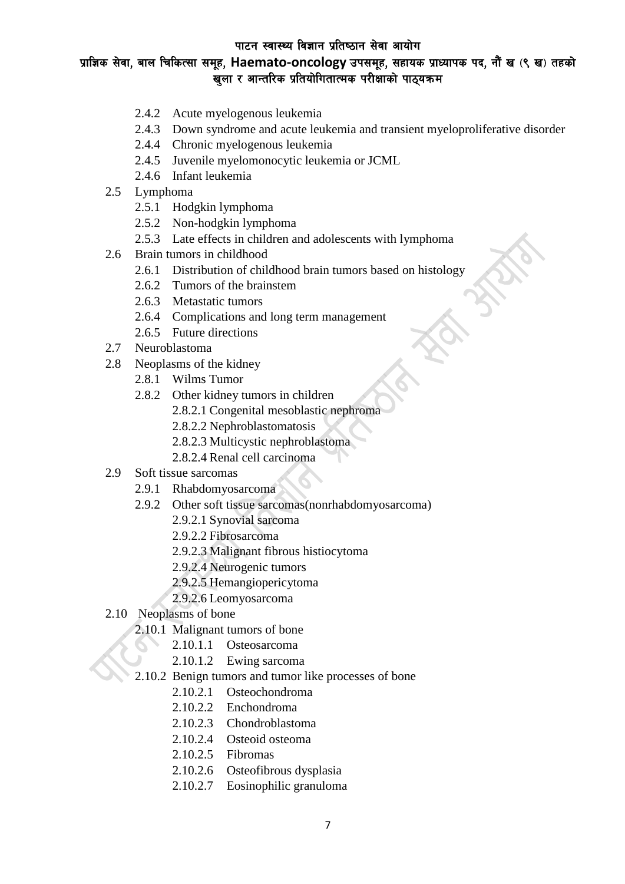# प्राज्ञिक सेवा, बाल चिकित्सा समूह, Haemato-oncology उपसमूह, सहायक प्राध्यापक पद, नौं ख (९ ख) तहको .<br>खुला र आन्तरिक प्रतियोगितात्मक परीक्षाको पाठ्यक्रम

- 2.4.2 Acute myelogenous leukemia
- 2.4.3 Down syndrome and acute leukemia and transient myeloproliferative disorder
- 2.4.4 Chronic myelogenous leukemia
- 2.4.5 Juvenile myelomonocytic leukemia or JCML
- 2.4.6 Infant leukemia
- 2.5 Lymphoma
	- 2.5.1 Hodgkin lymphoma
	- 2.5.2 Non-hodgkin lymphoma
	- 2.5.3 Late effects in children and adolescents with lymphoma
- 2.6 Brain tumors in childhood
	- 2.6.1 Distribution of childhood brain tumors based on histology
	- 2.6.2 Tumors of the brainstem
	- 2.6.3 Metastatic tumors
	- 2.6.4 Complications and long term management
	- 2.6.5 Future directions
- 2.7 Neuroblastoma
- 2.8 Neoplasms of the kidney
	- 2.8.1 Wilms Tumor
	- 2.8.2 Other kidney tumors in children
		- 2.8.2.1 Congenital mesoblastic nephroma
		- 2.8.2.2 Nephroblastomatosis
		- 2.8.2.3 Multicystic nephroblastoma
		- 2.8.2.4 Renal cell carcinoma
- 2.9 Soft tissue sarcomas
	- 2.9.1 Rhabdomyosarcoma
	- 2.9.2 Other soft tissue sarcomas(nonrhabdomyosarcoma)
		- 2.9.2.1 Synovial sarcoma
		- 2.9.2.2 Fibrosarcoma
		- 2.9.2.3 Malignant fibrous histiocytoma
		- 2.9.2.4 Neurogenic tumors
		- 2.9.2.5 Hemangiopericytoma
		- 2.9.2.6 Leomyosarcoma
- 2.10 Neoplasms of bone
	- 2.10.1 Malignant tumors of bone
		- 2.10.1.1 Osteosarcoma
		- 2.10.1.2 Ewing sarcoma
	- 2.10.2 Benign tumors and tumor like processes of bone
		- 2.10.2.1 Osteochondroma
		- 2.10.2.2 Enchondroma
		- 2.10.2.3 Chondroblastoma
		- 2.10.2.4 Osteoid osteoma
		- 2.10.2.5 Fibromas
		- 2.10.2.6 Osteofibrous dysplasia
		- 2.10.2.7 Eosinophilic granuloma